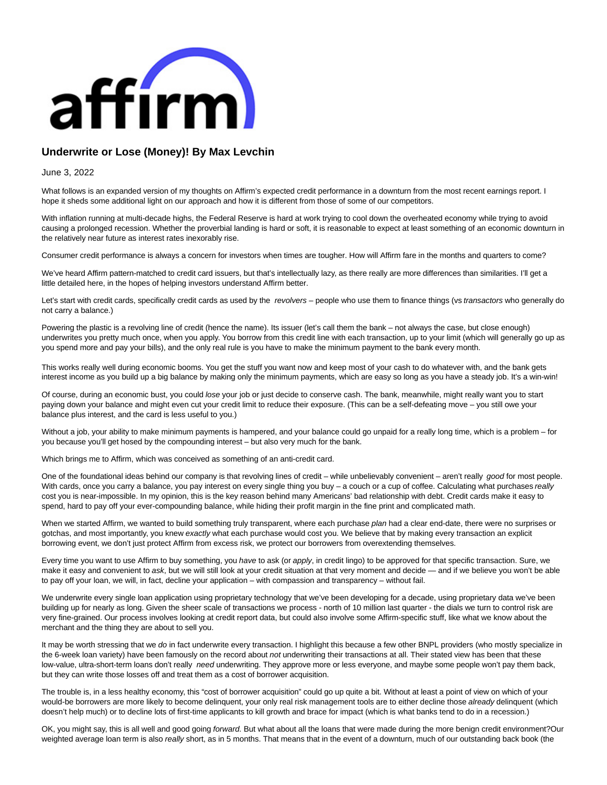

## **Underwrite or Lose (Money)! By Max Levchin**

June 3, 2022

What follows is an expanded version of my thoughts on Affirm's expected credit performance in a downturn from the most recent earnings report. I hope it sheds some additional light on our approach and how it is different from those of some of our competitors.

With inflation running at multi-decade highs, the Federal Reserve is hard at work trying to cool down the overheated economy while trying to avoid causing a prolonged recession. Whether the proverbial landing is hard or soft, it is reasonable to expect at least something of an economic downturn in the relatively near future as interest rates inexorably rise.

Consumer credit performance is always a concern for investors when times are tougher. How will Affirm fare in the months and quarters to come?

We've heard Affirm pattern-matched to credit card issuers, but that's intellectually lazy, as there really are more differences than similarities. I'll get a little detailed here, in the hopes of helping investors understand Affirm better.

Let's start with credit cards, specifically credit cards as used by the revolvers – people who use them to finance things (vs transactors who generally do not carry a balance.)

Powering the plastic is a revolving line of credit (hence the name). Its issuer (let's call them the bank – not always the case, but close enough) underwrites you pretty much once, when you apply. You borrow from this credit line with each transaction, up to your limit (which will generally go up as you spend more and pay your bills), and the only real rule is you have to make the minimum payment to the bank every month.

This works really well during economic booms. You get the stuff you want now and keep most of your cash to do whatever with, and the bank gets interest income as you build up a big balance by making only the minimum payments, which are easy so long as you have a steady job. It's a win-win!

Of course, during an economic bust, you could lose your job or just decide to conserve cash. The bank, meanwhile, might really want you to start paying down your balance and might even cut your credit limit to reduce their exposure. (This can be a self-defeating move – you still owe your balance plus interest, and the card is less useful to you.)

Without a job, your ability to make minimum payments is hampered, and your balance could go unpaid for a really long time, which is a problem – for you because you'll get hosed by the compounding interest – but also very much for the bank.

Which brings me to Affirm, which was conceived as something of an anti-credit card.

One of the foundational ideas behind our company is that revolving lines of credit – while unbelievably convenient – aren't really good for most people. With cards, once you carry a balance, you pay interest on every single thing you buy – a couch or a cup of coffee. Calculating what purchases really cost you is near-impossible. In my opinion, this is the key reason behind many Americans' bad relationship with debt. Credit cards make it easy to spend, hard to pay off your ever-compounding balance, while hiding their profit margin in the fine print and complicated math.

When we started Affirm, we wanted to build something truly transparent, where each purchase plan had a clear end-date, there were no surprises or gotchas, and most importantly, you knew exactly what each purchase would cost you. We believe that by making every transaction an explicit borrowing event, we don't just protect Affirm from excess risk, we protect our borrowers from overextending themselves.

Every time you want to use Affirm to buy something, you have to ask (or apply, in credit lingo) to be approved for that specific transaction. Sure, we make it easy and convenient to ask, but we will still look at your credit situation at that very moment and decide — and if we believe you won't be able to pay off your loan, we will, in fact, decline your application – with compassion and transparency – without fail.

We underwrite every single loan application using proprietary technology that we've been developing for a decade, using proprietary data we've been building up for nearly as long. Given the sheer scale of transactions we process - north of 10 million last quarter - the dials we turn to control risk are very fine-grained. Our process involves looking at credit report data, but could also involve some Affirm-specific stuff, like what we know about the merchant and the thing they are about to sell you.

It may be worth stressing that we do in fact underwrite every transaction. I highlight this because a few other BNPL providers (who mostly specialize in the 6-week loan variety) have been famously on the record about not underwriting their transactions at all. Their stated view has been that these low-value, ultra-short-term loans don't really need underwriting. They approve more or less everyone, and maybe some people won't pay them back, but they can write those losses off and treat them as a cost of borrower acquisition.

The trouble is, in a less healthy economy, this "cost of borrower acquisition" could go up quite a bit. Without at least a point of view on which of your would-be borrowers are more likely to become delinquent, your only real risk management tools are to either decline those already delinquent (which doesn't help much) or to decline lots of first-time applicants to kill growth and brace for impact (which is what banks tend to do in a recession.)

OK, you might say, this is all well and good going forward. But what about all the loans that were made during the more benign credit environment?Our weighted average loan term is also really short, as in 5 months. That means that in the event of a downturn, much of our outstanding back book (the